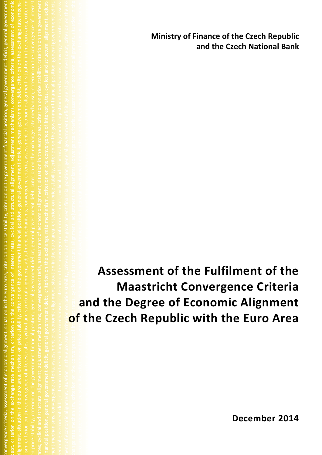**Ministry of Finance of the Czech Republic and the Czech National Bank**

ment of economic alignment, situation in the euro area, criterion on price stability, criterion on the government financial position, general government deficit, general government debt, criterion on the ex‐ change rate mechanism, criterion on the convergence of interest rates, cyclical and structural alignment, adjustment mechanisms, convergence criteria, assessment of economic alignment, situation in the euro area, criterion on price stability, criterion on the government financial position, general government deficit, general government debt, criterion on the exchange rate mechanism, criterion on the conver‐ gence of interest rates, cyclical and structural alignment, adjustment mechanisms, convergence criteria, assessment of economic alignment, situation in the euro area, criterion on price stability, criterion on the government deficit, general government deficit, general government deficit, general government debt, convergence of interest rates, cyclical and structural and structural and structural and structural and structural an d<br>|<br>|<br>|<br>| government deficit general government debt criterion on the exchange rates convergence of interest rates convergence of interest rates convergence of interest rates convergence of interest rates convergence of interest rat **Assessment of the Fulfilment of the Maastricht Convergence Criteria and the Degree of Economic Alignment of the Czech Republic with the Euro Area**

convergence criteria, assessment of economic alignment, situation in the euro area, criterion on price stability, criterion on the government financial position, general government deficit, general government debt, criterion on the exchange rate mechanism, criterion on the convergence of interest rates, cyclical and structural alignment, adjustment mechanisms, convergence criteria, assessment of economic

**December 2014**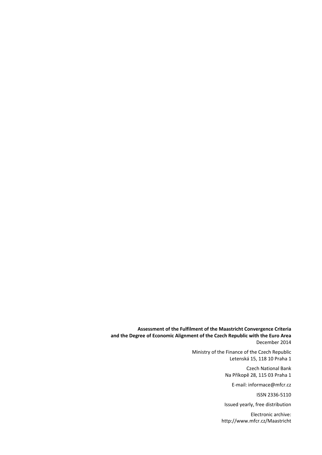**Assessment of the Fulfilment of the Maastricht Convergence Criteria and the Degree of Economic Alignment of the Czech Republic with the Euro Area**  December 2014

> Ministry of the Finance of the Czech Republic Letenská 15, 118 10 Praha 1

> > Czech National Bank Na Příkopě 28, 115 03 Praha 1

> > > E‐mail: informace@mfcr.cz

ISSN 2336‐5110

Issued yearly, free distribution

Electronic archive: http://www.mfcr.cz/Maastricht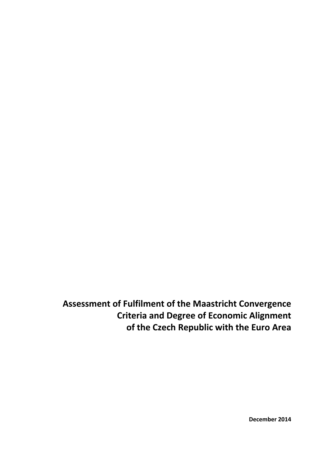**Assessment of Fulfilment of the Maastricht Convergence Criteria and Degree of Economic Alignment of the Czech Republic with the Euro Area**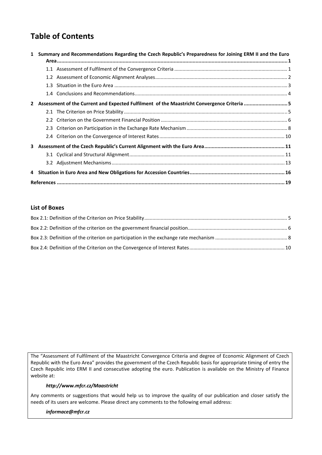# **Table of Contents**

| $\mathbf{1}$ | Summary and Recommendations Regarding the Czech Republic's Preparedness for Joining ERM II and the Euro |                                                                                            |  |  |  |  |  |  |  |
|--------------|---------------------------------------------------------------------------------------------------------|--------------------------------------------------------------------------------------------|--|--|--|--|--|--|--|
|              |                                                                                                         |                                                                                            |  |  |  |  |  |  |  |
|              |                                                                                                         |                                                                                            |  |  |  |  |  |  |  |
|              |                                                                                                         |                                                                                            |  |  |  |  |  |  |  |
|              |                                                                                                         |                                                                                            |  |  |  |  |  |  |  |
|              |                                                                                                         | Assessment of the Current and Expected Fulfilment of the Maastricht Convergence Criteria 5 |  |  |  |  |  |  |  |
|              |                                                                                                         |                                                                                            |  |  |  |  |  |  |  |
|              |                                                                                                         |                                                                                            |  |  |  |  |  |  |  |
|              |                                                                                                         |                                                                                            |  |  |  |  |  |  |  |
|              |                                                                                                         |                                                                                            |  |  |  |  |  |  |  |
| 3.           |                                                                                                         |                                                                                            |  |  |  |  |  |  |  |
|              |                                                                                                         |                                                                                            |  |  |  |  |  |  |  |
|              |                                                                                                         |                                                                                            |  |  |  |  |  |  |  |
|              |                                                                                                         |                                                                                            |  |  |  |  |  |  |  |
|              |                                                                                                         |                                                                                            |  |  |  |  |  |  |  |

### **List of [Boxe](#page-24-0)s**

The "Assessment of Fulfilment of the Maastricht Convergence Criteria and degree of Economic Alignment of Czech Republic with the Euro Area" provides the government of the Czech Republic basis for appropriate timing of entry the Czech Republic into ERM II and consecutive adopting the euro. Publication is available on the Ministry of Finance website at:

### *http://www.mfcr.cz/Maastricht*

Any comments or suggestions that would help us to improve the quality of our publication and closer satisfy the needs of its users are welcome. Please direct any comments to the following email address:

### *informace@mfcr.cz*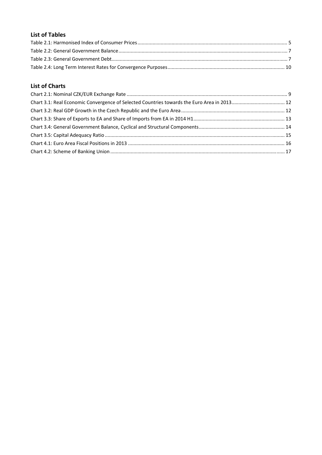## **List of Tables**

## **List of [Charts](#page-12-0)**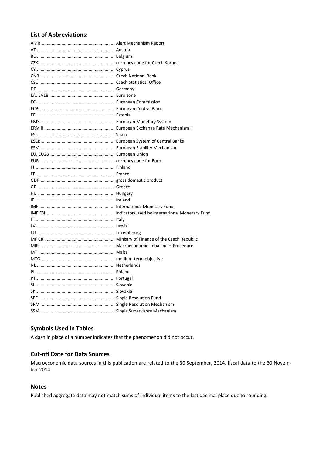## **List of Abbreviations:**

## **Symbols Used in Tables**

A dash in place of a number indicates that the phenomenon did not occur.

## **Cut-off Date for Data Sources**

Macroeconomic data sources in this publication are related to the 30 September, 2014, fiscal data to the 30 November 2014.

### **Notes**

Published aggregate data may not match sums of individual items to the last decimal place due to rounding.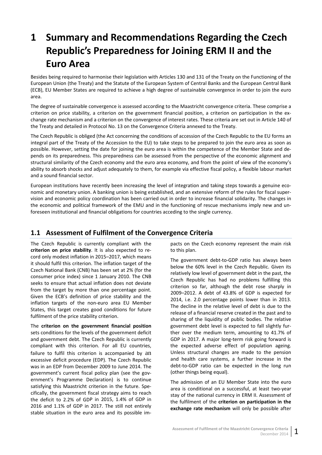# <span id="page-6-0"></span>**1 Summary and Recommendations Regarding the Czech Republic's Preparedness for Joining ERM II and the Euro Area**

Besides being required to harmonise their legislation with Articles 130 and 131 of the Treaty on the Functioning of the European Union (the Treaty) and the Statute of the European System of Central Banks and the European Central Bank (ECB), EU Member States are required to achieve a high degree of sustainable convergence in order to join the euro area.

The degree of sustainable convergence is assessed according to the Maastricht convergence criteria. These comprise a criterion on price stability, a criterion on the government financial position, a criterion on participation in the exchange rate mechanism and a criterion on the convergence of interest rates. These criteria are set out in Article 140 of the Treaty and detailed in Protocol No. 13 on the Convergence Criteria annexed to the Treaty.

The Czech Republic is obliged (the Act concerning the conditions of accession of the Czech Republic to the EU forms an integral part of the Treaty of the Accession to the EU) to take steps to be prepared to join the euro area as soon as possible. However, setting the date for joining the euro area is within the competence of the Member State and de‐ pends on its preparedness. This preparedness can be assessed from the perspective of the economic alignment and structural similarity of the Czech economy and the euro area economy, and from the point of view of the economy's ability to absorb shocks and adjust adequately to them, for example via effective fiscal policy, a flexible labour market and a sound financial sector.

European institutions have recently been increasing the level of integration and taking steps towards a genuine eco‐ nomic and monetary union. A banking union is being established, and an extensive reform of the rules for fiscal super‐ vision and economic policy coordination has been carried out in order to increase financial solidarity. The changes in the economic and political framework of the EMU and in the functioning of rescue mechanisms imply new and un‐ foreseen institutional and financial obligations for countries acceding to the single currency.

## <span id="page-6-1"></span>**1.1 Assessment of Fulfilment of the Convergence Criteria**

The Czech Republic is currently compliant with the **criterion on price stability**. It is also expected to re‐ cord only modest inflation in 2015–2017, which means it should fulfil this criterion. The inflation target of the Czech National Bank (CNB) has been set at 2% (for the consumer price index) since 1 January 2010. The CNB seeks to ensure that actual inflation does not deviate from the target by more than one percentage point. Given the ECB's definition of price stability and the inflation targets of the non‐euro area EU Member States, this target creates good conditions for future fulfilment of the price stability criterion.

The **criterion on the government financial position** sets conditions for the levels of the government deficit and government debt. The Czech Republic is currently compliant with this criterion. For all EU countries, failure to fulfil this criterion is accompanied by an excessive deficit procedure (EDP). The Czech Republic was in an EDP from December 2009 to June 2014. The government's current fiscal policy plan (see the government's Programme Declaration) is to continue satisfying this Maastricht criterion in the future. Specifically, the government fiscal strategy aims to reach the deficit to 2.2% of GDP in 2015, 1.4% of GDP in 2016 and 1.1% of GDP in 2017. The still not entirely stable situation in the euro area and its possible im‐

pacts on the Czech economy represent the main risk to this plan.

The government debt-to-GDP ratio has always been below the 60% level in the Czech Republic. Given its relatively low level of government debt in the past, the Czech Republic has had no problems fulfilling this criterion so far, although the debt rose sharply in 2009–2012. A debt of 43.8% of GDP is expected for 2014, i.e. 2.0 percentage points lower than in 2013. The decline in the relative level of debt is due to the release of a financial reserve created in the past and to sharing of the liquidity of public bodies. The relative government debt level is expected to fall slightly fur‐ ther over the medium term, amounting to 41.7% of GDP in 2017. A major long‐term risk going forward is the expected adverse effect of population ageing. Unless structural changes are made to the pension and health care systems, a further increase in the debt-to-GDP ratio can be expected in the long run (other things being equal).

The admission of an EU Member State into the euro area is conditional on a successful, at least two‐year stay of the national currency in ERM II. Assessment of the fulfilment of the **criterion on participation in the exchange rate mechanism** will only be possible after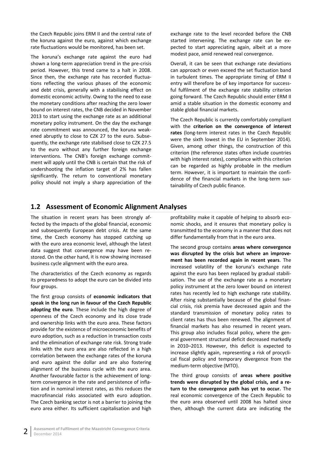the Czech Republic joins ERM II and the central rate of the koruna against the euro, against which exchange rate fluctuations would be monitored, has been set.

The koruna's exchange rate against the euro had shown a long‐term appreciation trend in the pre‐crisis period. However, this trend came to a halt in 2008. Since then, the exchange rate has recorded fluctua‐ tions reflecting the various phases of the economic and debt crisis, generally with a stabilising effect on domestic economic activity. Owing to the need to ease the monetary conditions after reaching the zero lower bound on interest rates, the CNB decided in November 2013 to start using the exchange rate as an additional monetary policy instrument. On the day the exchange rate commitment was announced, the koruna weak‐ ened abruptly to close to CZK 27 to the euro. Subse‐ quently, the exchange rate stabilised close to CZK 27.5 to the euro without any further foreign exchange interventions. The CNB's foreign exchange commitment will apply until the CNB is certain that the risk of undershooting the inflation target of 2% has fallen significantly. The return to conventional monetary policy should not imply a sharp appreciation of the

exchange rate to the level recorded before the CNB started intervening. The exchange rate can be expected to start appreciating again, albeit at a more modest pace, amid renewed real convergence.

Overall, it can be seen that exchange rate deviations can approach or even exceed the set fluctuation band in turbulent times. The appropriate timing of ERM II entry will therefore be of key importance for success‐ ful fulfilment of the exchange rate stability criterion going forward. The Czech Republic should enter ERM II amid a stable situation in the domestic economy and stable global financial markets.

The Czech Republic is currently comfortably compliant with the **criterion on the convergence of interest** rates (long-term interest rates in the Czech Republic were the sixth lowest in the EU in September 2014). Given, among other things, the construction of this criterion (the reference states often include countries with high interest rates), compliance with this criterion can be regarded as highly probable in the medium term. However, it is important to maintain the confi‐ dence of the financial markets in the long‐term sus‐ tainability of Czech public finance.

## <span id="page-7-0"></span>**1.2 Assessment of Economic Alignment Analyses**

The situation in recent years has been strongly affected by the impacts of the global financial, economic and subsequently European debt crisis. At the same time, the Czech economy has stopped catching up with the euro area economic level, although the latest data suggest that convergence may have been re‐ stored. On the other hand, it is now showing increased business cycle alignment with the euro area.

The characteristics of the Czech economy as regards its preparedness to adopt the euro can be divided into four groups.

The first group consists of **economic indicators that speak in the long run in favour of the Czech Republic adopting the euro**. These include the high degree of openness of the Czech economy and its close trade and ownership links with the euro area. These factors provide for the existence of microeconomic benefits of euro adoption, such as a reduction in transaction costs and the elimination of exchange rate risk. Strong trade links with the euro area are also reflected in a high correlation between the exchange rates of the koruna and euro against the dollar and are also fostering alignment of the business cycle with the euro area. Another favourable factor is the achievement of long‐ term convergence in the rate and persistence of infla‐ tion and in nominal interest rates, as this reduces the macrofinancial risks associated with euro adoption. The Czech banking sector is not a barrier to joining the euro area either. Its sufficient capitalisation and high

profitability make it capable of helping to absorb eco‐ nomic shocks, and it ensures that monetary policy is transmitted to the economy in a manner that does not differ fundamentally from that in the euro area.

The second group contains **areas where convergence was disrupted by the crisis but where an improve‐ ment has been recorded again in recent years**. The increased volatility of the koruna's exchange rate against the euro has been replaced by gradual stabili‐ sation. The use of the exchange rate as a monetary policy instrument at the zero lower bound on interest rates has recently led to high exchange rate stability. After rising substantially because of the global finan‐ cial crisis, risk premia have decreased again and the standard transmission of monetary policy rates to client rates has thus been renewed. The alignment of financial markets has also resumed in recent years. This group also includes fiscal policy, where the gen‐ eral government structural deficit decreased markedly in 2010–2013. However, this deficit is expected to increase slightly again, representing a risk of procycli‐ cal fiscal policy and temporary divergence from the medium‐term objective (MTO).

The third group consists of **areas where positive trends were disrupted by the global crisis, and a re‐ turn to the convergence path has yet to occur.** The real economic convergence of the Czech Republic to the euro area observed until 2008 has halted since then, although the current data are indicating the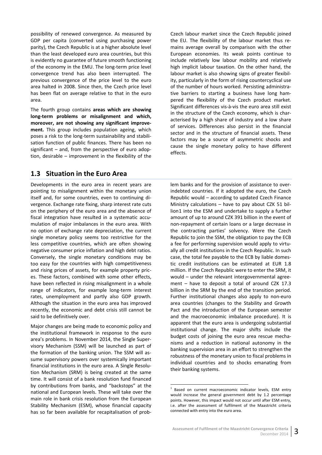possibility of renewed convergence. As measured by GDP per capita (converted using purchasing power parity), the Czech Republic is at a higher absolute level than the least developed euro area countries, but this is evidently no guarantee of future smooth functioning of the economy in the EMU. The long‐term price level convergence trend has also been interrupted. The previous convergence of the price level to the euro area halted in 2008. Since then, the Czech price level has been flat on average relative to that in the euro area.

The fourth group contains **areas which are showing long‐term problems or misalignment and which, moreover, are not showing any significant improve‐ ment.** This group includes population ageing, which poses a risk to the long‐term sustainability and stabili‐ sation function of public finances. There has been no significant – and, from the perspective of euro adop‐ tion, desirable – improvement in the flexibility of the

Czech labour market since the Czech Republic joined the EU. The flexibility of the labour market thus re‐ mains average overall by comparison with the other European economies. Its weak points continue to include relatively low labour mobility and relatively high implicit labour taxation. On the other hand, the labour market is also showing signs of greater flexibil‐ ity, particularly in the form of rising countercyclical use of the number of hours worked. Persisting administra‐ tive barriers to starting a business have long ham‐ pered the flexibility of the Czech product market. Significant differences vis‐à‐vis the euro area still exist in the structure of the Czech economy, which is characterised by a high share of industry and a low share of services. Differences also persist in the financial sector and in the structure of financial assets. These factors may be a source of asymmetric shocks and cause the single monetary policy to have different effects.

## **1.3 Situation in the Euro Area**

<span id="page-8-0"></span>Developments in the euro area in recent years are pointing to misalignment within the monetary union itself and, for some countries, even to continuing di‐ vergence. Exchange rate fixing, sharp interest rate cuts on the periphery of the euro area and the absence of fiscal integration have resulted in a systematic accu‐ mulation of major imbalances in the euro area. With no option of exchange rate depreciation, the current single monetary policy seems too restrictive for the less competitive countries, which are often showing negative consumer price inflation and high debt ratios. Conversely, the single monetary conditions may be too easy for the countries with high competitiveness and rising prices of assets, for example property pric‐ es. These factors, combined with some other effects, have been reflected in rising misalignment in a whole range of indicators, for example long-term interest rates, unemployment and partly also GDP growth. Although the situation in the euro area has improved recently, the economic and debt crisis still cannot be said to be definitively over.

<span id="page-8-1"></span>Major changes are being made to economic policy and the institutional framework in response to the euro area's problems. In November 2014, the Single Super‐ visory Mechanism (SSM) will be launched as part of the formation of the banking union. The SSM will as‐ sume supervisory powers over systemically important financial institutions in the euro area. A Single Resolu‐ tion Mechanism (SRM) is being created at the same time. It will consist of a bank resolution fund financed by contributions from banks, and "backstops" at the national and European levels. These will take over the main role in bank crisis resolution from the European Stability Mechanism (ESM), whose financial capacity has so far been available for recapitalisation of prob‐

lem banks and for the provision of assistance to over‐ indebted countries. If it adopted the euro, the Czech Republic would – according to updated Czech Finance Ministry calculations – have to pay about CZK 51 bil‐ lion1 into the ESM and undertake to supply a further amount of up to around CZK 391 billion in the event of non‐repayment of certain loans or a large decrease in the contracting parties' solvency. Were the Czech Rep[u](#page-8-1)blic to join the SSM, the obligation to pay the ECB a fee for performing supervision would apply to virtu‐ ally all credit institutions in the Czech Republic. In such case, the total fee payable to the ECB by liable domes‐ tic credit institutions can be estimated at EUR 1.8 million. If the Czech Republic were to enter the SRM, it would – under the relevant intergovernmental agree‐ ment – have to deposit a total of around CZK 17.3 billion in the SRM by the end of the transition period. Further institutional changes also apply to non-euro area countries (changes to the Stability and Growth Pact and the introduction of the European semester and the macroeconomic imbalance procedure). It is apparent that the euro area is undergoing substantial institutional change. The major shifts include the budget costs of joining the euro area rescue mecha‐ nisms and a reduction in national autonomy in the banking supervision area in an effort to strengthen the robustness of the monetary union to fiscal problems in individual countries and to shocks emanating from their banking systems.

 $1$  Based on current macroeconomic indicator levels, ESM entry would increase the general government debt by 1.2 percentage points. However, this impact would not occur until after ESM entry, i.e. after the assessment of fulfilment of the Maastricht criteria connected with entry into the euro area.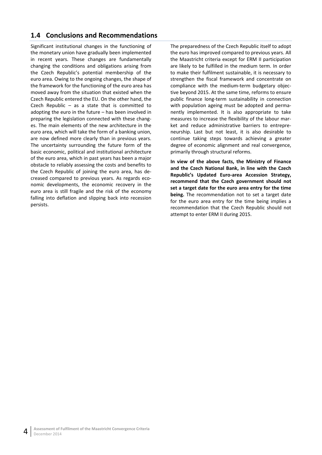## <span id="page-9-0"></span>**1.4 Conclusions and Recommendations**

Significant institutional changes in the functioning of the monetary union have gradually been implemented in recent years. These changes are fundamentally changing the conditions and obligations arising from the Czech Republic's potential membership of the euro area. Owing to the ongoing changes, the shape of the framework for the functioning of the euro area has moved away from the situation that existed when the Czech Republic entered the EU. On the other hand, the Czech Republic  $-$  as a state that is committed to adopting the euro in the future – has been involved in preparing the legislation connected with these chang‐ es. The main elements of the new architecture in the euro area, which will take the form of a banking union, are now defined more clearly than in previous years. The uncertainty surrounding the future form of the basic economic, political and institutional architecture of the euro area, which in past years has been a major obstacle to reliably assessing the costs and benefits to the Czech Republic of joining the euro area, has de‐ creased compared to previous years. As regards eco‐ nomic developments, the economic recovery in the euro area is still fragile and the risk of the economy falling into deflation and slipping back into recession persists.

The preparedness of the Czech Republic itself to adopt the euro has improved compared to previous years. All the Maastricht criteria except for ERM II participation are likely to be fulfilled in the medium term. In order to make their fulfilment sustainable, it is necessary to strengthen the fiscal framework and concentrate on compliance with the medium‐term budgetary objec‐ tive beyond 2015. At the same time, reforms to ensure public finance long‐term sustainability in connection with population ageing must be adopted and permanently implemented. It is also appropriate to take measures to increase the flexibility of the labour mar‐ ket and reduce administrative barriers to entrepre‐ neurship. Last but not least, it is also desirable to continue taking steps towards achieving a greater degree of economic alignment and real convergence, primarily through structural reforms.

**In view of the above facts, the Ministry of Finance and the Czech National Bank, in line with the Czech Republic's Updated Euro‐area Accession Strategy, recommend that the Czech government should not set a target date for the euro area entry for the time being.** The recommendation not to set a target date for the euro area entry for the time being implies a recommendation that the Czech Republic should not attempt to enter ERM II during 2015.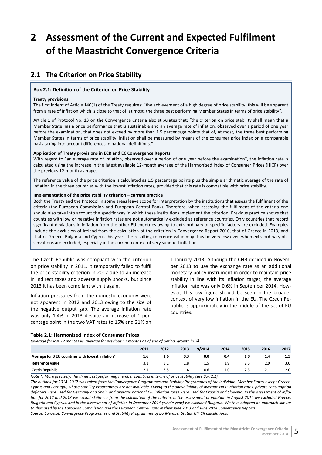# <span id="page-10-0"></span>**2 Assessment of the Current and Expected Fulfilment of the Maastricht Convergence Criteria**

# <span id="page-10-1"></span>**2.1 The Criterion on Price Stability**

#### <span id="page-10-2"></span>**Box 2.1: Definition of the Criterion on Price Stability**

#### **Treaty provisions**

The first indent of Article 140(1) of the Treaty requires: "the achievement of a high degree of price stability; this will be apparent from a rate of inflation which is close to that of, at most, the three best performing Member States in terms of price stability".

Article 1 of Protocol No. 13 on the Convergence Criteria also stipulates that: "the criterion on price stability shall mean that a Member State has a price performance that is sustainable and an average rate of inflation, observed over a period of one year before the examination, that does not exceed by more than 1.5 percentage points that of, at most, the three best performing Member States in terms of price stability. Inflation shall be measured by means of the consumer price index on a comparable basis taking into account differences in national definitions."

#### **Application of Treaty provisions in ECB and EC Convergence Reports**

With regard to "an average rate of inflation, observed over a period of one year before the examination", the inflation rate is calculated using the increase in the latest available 12‐month average of the Harmonised Index of Consumer Prices (HICP) over the previous 12‐month average.

The reference value of the price criterion is calculated as 1.5 percentage points plus the simple arithmetic average of the rate of inflation in the three countries with the lowest inflation rates, provided that this rate is compatible with price stability.

#### **Implementation of the price stability criterion – current practice**

Both the Treaty and the Protocol in some areas leave scope for interpretation by the institutions that assess the fulfilment of the criteria (the European Commission and European Central Bank). Therefore, when assessing the fulfilment of the criteria one should also take into account the specific way in which these institutions implement the criterion. Previous practice shows that countries with low or negative inflation rates are not automatically excluded as reference countries. Only countries that record significant deviations in inflation from the other EU countries owing to extraordinary or specific factors are excluded. Examples include the exclusion of Ireland from the calculation of the criterion in Convergence Report 2010, that of Greece in 2013, and that of Greece, Bulgaria and Cyprus this year. The resulting reference value may thus be very low even when extraordinary ob‐ servations are excluded, especially in the current context of very subdued inflation.

The Czech Republic was compliant with the criterion on price stability in 2011. It temporarily failed to fulfil the price stability criterion in 2012 due to an increase in indirect taxes and adverse supply shocks, but since 2013 it has been compliant with it again.

Inflation pressures from the domestic economy were not apparent in 2012 and 2013 owing to the size of the negative output gap. The average inflation rate was only 1.4% in 2013 despite an increase of 1 per‐ centage point in the two VAT rates to 15% and 21% on

1 January 2013. Although the CNB decided in Novem‐ ber 2013 to use the exchange rate as an additional monetary policy instrument in order to maintain price stability in line with its inflation target, the average inflation rate was only 0.6% in September 2014. How‐ ever, this low figure should be seen in the broader context of very low inflation in the EU. The Czech Re‐ public is approximately in the middle of the set of EU countries.

#### **Table 2.1: Harmonised Index of Consumer Prices**

<span id="page-10-3"></span>(average for last 12 months vs. average for previous 12 months as of end of period, growth in %)

|                                                   | 2011         | 2012 | 2013 | 9/2014           | 2014 | 2015 | 2016 | 2017 |
|---------------------------------------------------|--------------|------|------|------------------|------|------|------|------|
| Average for 3 EU countries with lowest inflation* | 1.6          | 1.6  | 0.3  | 0.0 <sub>1</sub> | 0.4  | 1.0  | 1.4  | 1.5  |
| Reference value                                   |              |      | 1.8  | 1.5              | 1.9  | 2.5  | 2.9  | 3.0  |
| <b>Czech Republic</b>                             | <u> 2. J</u> | ں ر  | 1.4  | 0.61             | 1.0  | 2.3  | 2.1  | 2.0  |

Note \*) More precisely, the three best performing member countries in terms of price stability (see Box 2.1).

The outlook for 2014-2017 was taken from the Convergence Programmes and Stability Programmes of the individual Member States except Greece, Cyprus and Portugal, whose Stability Programmes are not available. Owing to the unavailability of average HICP inflation rates, private consumption deflators were used for Germany and Spain and average national CPI inflation rates were used for Croatia and Slovenia. In the assessment of inflation for 2012 and 2013 we excluded Greece from the calculation of the criteria, in the assessment of inflation in August 2014 we excluded Greece, Bulgaria and Cyprus, and in the assessment of inflation in December 2014 (whole year) we excluded Bulgaria. We thus adopted an approach similar to that used by the European Commission and the European Central Bank in their June 2013 and June 2014 Convergence Reports. *Source: Eurostat, Convergence Programmes and Stability Programmes of EU Member States, MF CR calculations.*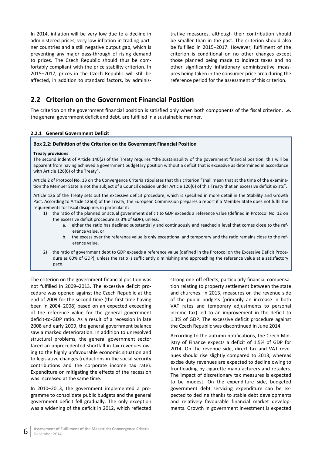In 2014, inflation will be very low due to a decline in administered prices, very low inflation in trading part‐ ner countries and a still negative output gap, which is preventing any major pass‐through of rising demand to prices. The Czech Republic should thus be com‐ fortably compliant with the price stability criterion. In 2015–2017, prices in the Czech Republic will still be affected, in addition to standard factors, by adminis‐ trative measures, although their contribution should be smaller than in the past. The criterion should also be fulfilled in 2015–2017. However, fulfilment of the criterion is conditional on no other changes except those planned being made to indirect taxes and no other significantly inflationary administrative meas‐ ures being taken in the consumer price area during the reference period for the assessment of this criterion.

## <span id="page-11-0"></span>**2.2 Criterion on the Government Financial Position**

The criterion on the government financial position is satisfied only when both components of the fiscal criterion, i.e. the general government deficit and debt, are fulfilled in a sustainable manner.

#### **2.2.1 General Government Deficit**

#### **Box 2.2: Definition of the Criterion on the Government Financial Position**

#### **Treaty provisions**

The second indent of Article 140(2) of the Treaty requires "the sustainability of the government financial position; this will be apparent from having achieved a government budgetary position without a deficit that is excessive as determined in accordance with Article 126(6) of the Treaty".

Article 2 of Protocol No. 13 on the Convergence Criteria stipulates that this criterion "shall mean that at the time of the examination the Member State is not the subject of a Council decision under Article 126(6) of this Treaty that an excessive deficit exists".

Article 126 of the Treaty sets out the excessive deficit procedure, which is specified in more detail in the Stability and Growth Pact. According to Article 126(3) of the Treaty, the European Commission prepares a report if a Member State does not fulfil the requirements for fiscal discipline, in particular if:

- 1) the ratio of the planned or actual government deficit to GDP exceeds a reference value (defined in Protocol No. 12 on the excessive deficit procedure as 3% of GDP), unless:
	- a. either the ratio has declined substantially and continuously and reached a level that comes close to the ref‐ erence value, or
	- b. the excess over the reference value is only exceptional and temporary and the ratio remains close to the reference value.
- 2) the ratio of government debt to GDP exceeds a reference value (defined in the Protocol on the Excessive Deficit Procedure as 60% of GDP), unless the ratio is sufficiently diminishing and approaching the reference value at a satisfactory pace.

The criterion on the government financial position was not fulfilled in 2009–2013. The excessive deficit pro‐ cedure was opened against the Czech Republic at the end of 2009 for the second time (the first time having been in 2004–2008) based on an expected exceeding of the reference value for the general government deficit‐to‐GDP ratio. As a result of a recession in late 2008 and early 2009, the general government balance saw a marked deterioration. In addition to unresolved structural problems, the general government sector faced an unprecedented shortfall in tax revenues ow‐ ing to the highly unfavourable economic situation and to legislative changes (reductions in the social security contributions and the corporate income tax rate). Expenditure on mitigating the effects of the recession was increased at the same time.

In 2010–2013, the government implemented a pro‐ gramme to consolidate public budgets and the general government deficit fell gradually. The only exception was a widening of the deficit in 2012, which reflected

strong one‐off effects, particularly financial compensa‐ tion relating to property settlement between the state and churches. In 2013, measures on the revenue side of the public budgets (primarily an increase in both VAT rates and temporary adjustments to personal income tax) led to an improvement in the deficit to 1.3% of GDP. The excessive deficit procedure against the Czech Republic was discontinued in June 2014.

According to the autumn notifications, the Czech Min‐ istry of Finance expects a deficit of 1.5% of GDP for 2014. On the revenue side, direct tax and VAT reve‐ nues should rise slightly compared to 2013, whereas excise duty revenues are expected to decline owing to frontloading by cigarette manufacturers and retailers. The impact of discretionary tax measures is expected to be modest. On the expenditure side, budgeted government debt servicing expenditure can be ex‐ pected to decline thanks to stable debt developments and relatively favourable financial market develop‐ ments. Growth in government investment is expected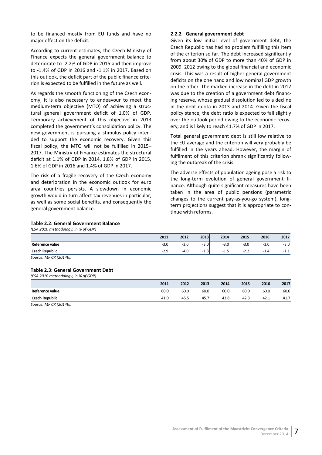to be financed mostly from EU funds and have no major effect on the deficit.

According to current estimates, the Czech Ministry of Finance expects the general government balance to deteriorate to ‐2.2% of GDP in 2015 and then improve to ‐1.4% of GDP in 2016 and ‐1.1% in 2017. Based on this outlook, the deficit part of the public finance crite‐ rion is expected to be fulfilled in the future as well.

As regards the smooth functioning of the Czech econ‐ omy, it is also necessary to endeavour to meet the medium-term objective (MTO) of achieving a structural general government deficit of 1.0% of GDP. Temporary achievement of this objective in 2013 completed the government's consolidation policy. The new government is pursuing a stimulus policy inten‐ ded to support the economic recovery. Given this fiscal policy, the MTO will not be fulfilled in 2015– 2017. The Ministry of Finance estimates the structural deficit at 1.1% of GDP in 2014, 1.8% of GDP in 2015, 1.6% of GDP in 2016 and 1.4% of GDP in 2017.

The risk of a fragile recovery of the Czech economy and deterioration in the economic outlook for euro area countries persists. A slowdown in economic growth would in turn affect tax revenues in particular, as well as some social benefits, and consequently the general government balance.

#### **2.2.2 General government debt**

Given its low initial level of government debt, the Czech Republic has had no problem fulfilling this item of the criterion so far. The debt increased significantly from about 30% of GDP to more than 40% of GDP in 2009–2012 owing to the global financial and economic crisis. This was a result of higher general government deficits on the one hand and low nominal GDP growth on the other. The marked increase in the debt in 2012 was due to the creation of a government debt financ‐ ing reserve, whose gradual dissolution led to a decline in the debt quota in 2013 and 2014. Given the fiscal policy stance, the debt ratio is expected to fall slightly over the outlook period owing to the economic recov‐ ery, and is likely to reach 41.7% of GDP in 2017.

Total general government debt is still low relative to the EU average and the criterion will very probably be fulfilled in the years ahead. However, the margin of fulfilment of this criterion shrank significantly follow‐ ing the outbreak of the crisis.

The adverse effects of population ageing pose a risk to the long-term evolution of general government finance. Although quite significant measures have been taken in the area of public pensions (parametric changes to the current pay‐as‐you‐go system), long‐ term projections suggest that it is appropriate to con‐ tinue with reforms.

#### **Table 2.2: General Government Balance**

<span id="page-12-0"></span>*(ESA 2010 methodology, in % of GDP)*

|                       | 2011   | 2012   | 2013                                         | 2014        | 2015   | 2016       | 2017   |
|-----------------------|--------|--------|----------------------------------------------|-------------|--------|------------|--------|
| Reference value       | $-3.0$ | $-3.0$ | 3.0<br>- 3                                   | ຳ ∩<br>-3.U | $-3.0$ | $-3.0$     | $-3.0$ |
| <b>Czech Republic</b> | $-2.9$ | $-4.0$ | 1.3 <sup>1</sup><br>$\overline{\phantom{0}}$ | $-1.5$      | $-2.2$ | 1.4<br>- 1 | -1.1   |

*Source: MF CR (2014b).*

#### **Table 2.3: General Government Debt**

*(ESA 2010 methodology, in % of GDP)*

|                       | 2011 | 2012 | 2013 | 2014 | 2015 | 2016 | 2017 |
|-----------------------|------|------|------|------|------|------|------|
| Reference value       | 60.0 | 60.0 | 60.0 | 60.0 | 60.0 | 60.0 | 60.0 |
| <b>Czech Republic</b> | 41.0 | 45.5 | 45.7 | 43.8 | 42.3 | 42.1 | 41.7 |

*Source: MF CR (2014b).*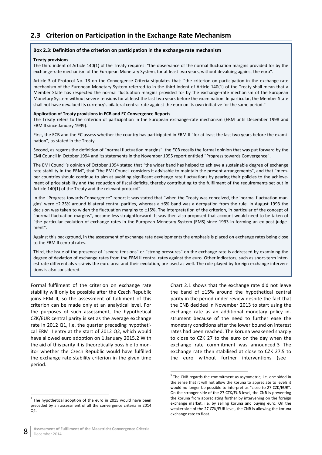# **2.3 Criterion on Participation in the Exchange Rate Mechanism**

#### **Box 2.3: Definition of the criterion on participation in the exchange rate mechanism**

#### <span id="page-13-0"></span>**Treaty provisions**

The third indent of Article 140(1) of the Treaty requires: "the observance of the normal fluctuation margins provided for by the exchange-rate mechanism of the European Monetary System, for at least two years, without devaluing against the euro".

Article 3 of Protocol No. 13 on the Convergence Criteria stipulates that: "the criterion on participation in the exchange-rate mechanism of the European Monetary System referred to in the third indent of Article 140(1) of the Treaty shall mean that a Member State has respected the normal fluctuation margins provided for by the exchange‐rate mechanism of the European Monetary System without severe tensions for at least the last two years before the examination. In particular, the Member State shall not have devalued its currency's bilateral central rate against the euro on its own initiative for the same period."

#### **Application of Treaty provisions in ECB and EC Convergence Reports**

The Treaty refers to the criterion of participation in the European exchange-rate mechanism (ERM until December 1998 and ERM II since January 1999).

First, the ECB and the EC assess whether the country has participated in ERM II "for at least the last two years before the examination", as stated in the Treaty.

Second, as regards the definition of "normal fluctuation margins", the ECB recalls the formal opinion that was put forward by the EMI Council in October 1994 and its statements in the November 1995 report entitled "Progress towards Convergence".

The EMI Council's opinion of October 1994 stated that "the wider band has helped to achieve a sustainable degree of exchange rate stability in the ERM", that "the EMI Council considers it advisable to maintain the present arrangements", and that "member countries should continue to aim at avoiding significant exchange rate fluctuations by gearing their policies to the achievement of price stability and the reduction of fiscal deficits, thereby contributing to the fulfilment of the requirements set out in Article 140(1) of the Treaty and the relevant protocol".

In the "Progress towards Convergence" report it was stated that "when the Treaty was conceived, the 'normal fluctuation margins' were  $\pm 2.25$ % around bilateral central parities, whereas a  $\pm 6$ % band was a derogation from the rule. In August 1993 the decision was taken to widen the fluctuation margins to ±15%. The interpretation of the criterion, in particular of the concept of "normal fluctuation margins", became less straightforward. It was then also proposed that account would need to be taken of "the particular evolution of exchange rates in the European Monetary System (EMS) since 1993 in forming an ex post judge‐ ment".

Against this background, in the assessment of exchange rate developments the emphasis is placed on exchange rates being close to the ERM II central rates.

Third, the issue of the presence of "severe tensions" or "strong pressures" on the exchange rate is addressed by examining the degree of deviation of exchange rates from the ERM II central rates against the euro. Other indicators, such as short-term interest rate differentials vis-à-vis the euro area and their evolution, are used as well. The role played by foreign exchange interventions is also considered.

Formal fulfilment of the criterion on exchange rate stability will only be possible after the Czech Republic joins ERM II, so the assessment of fulfilment of this criterion can be made only at an analytical level. For the purposes of such assessment, the hypothetical CZK/EUR central parity is set as the average exchange rate in 2012 Q1, i.e. the quarter preceding hypothetical ERM II entry at the start of 2012 Q2, which would have allowed euro adoption on 1 January 2015.2 With the aid of this parity it is theoretically possible to mon‐ itor whether the Czech Republic would have fulfilled the exchange rate stability criterion in the given time period.

Chart 2.1 shows that the exchange rate did not leave the band of ±15% around the hypothetical central parity in the period under review despite the fact that the CNB decided in November 2013 to start using the exchange rate as an additional monetary policy in‐ strument because of the need to further ease the monetary conditions after the lower bound on interest rates had been reached. The koruna weakened sharply to close to CZK 27 to the euro on the day when the exchange rate commitment was announced.3 The exchange rate then stabilised at close to CZK 27.5 to the euro without further interventions (see

 $2$  The hypothetical adoption of the euro in 2015 would have been preceded by an assessment of all the convergence criteria in 2014 Q2.

 $3$  The CNB regards the commitment as asymmetric, i.e. one-sided in the sense that it will not allow the koruna to appreciate to levels it would no longer be possible to interpret as "close to 27 CZK/EUR". On the stronger side of the 27 CZK/EUR level, the CNB is preventing [the](#page-14-0) koruna from appreciating further by intervening on the foreign exchange market, i.e. by selling koruna and buying euro. On the weaker side of the 27 CZK/EUR level, the CNB is allowing the koruna exchange rate to float.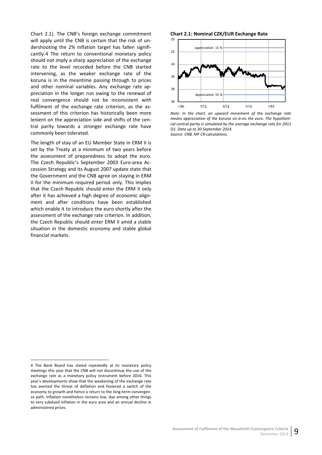Chart 2.1). The CNB's foreign exchange commitment will apply until the CNB is certain that the risk of un‐ dershooting the 2% inflation target has fallen signifi‐ cantly.4 The return to conventional monetary policy should not imply a sharp appreciation of the exchange rate to the level recorded before the CNB started intervening, as the weaker exchange rate of the korun[a](#page-14-1) is in the meantime passing through to prices and other nominal variables. Any exchange rate appreciation in the longer run owing to the renewal of real convergence should not be inconsistent with fulfilment of the exchange rate criterion, as the assessment of this criterion has historically been more lenient on the appreciation side and shifts of the cen‐ tral parity towards a stronger exchange rate have commonly been tolerated.

The length of stay of an EU Member State in ERM II is set by the Treaty at a minimum of two years before the assessment of preparedness to adopt the euro. The Czech Republic's September 2003 Euro‐area Ac‐ cession Strategy and its August 2007 update state that the Government and the CNB agree on staying in ERM II for the minimum required period only. This implies that the Czech Republic should enter the ERM II only after it has achieved a high degree of economic align‐ ment and after conditions have been established which enable it to introduce the euro shortly after the assessment of the exchange rate criterion. In addition, the Czech Republic should enter ERM II amid a stable situation in the domestic economy and stable global financial markets.

**Chart 2.1: Nominal CZK/EUR Exchange Rate**



*Note: In the chart, an upward movement of the exchange rate means appreciation of the koruna vis‐à‐vis the euro. The hypotheti‐ cal central parity is simulated by the average exchange rate for 2012 Q1. Data up to 30 September 2014.*

*Source: CNB, MF CR calculations.*

<span id="page-14-0"></span>

<span id="page-14-1"></span><sup>4</sup> The Bank Board has stated repeatedly at its monetary policy meetings this year that the CNB will not discontinue the use of the exchange rate as a monetary policy instrument before 2016. This year's developments show that the weakening of the exchange rate has averted the threat of deflation and fostered a switch of the economy to growth and hence a return to the long‐term convergen‐ ce path. Inflation nonetheless remains low, due among other things to very subdued inflation in the euro area and an annual decline in administered prices.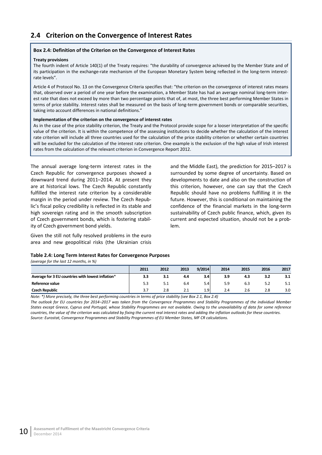# <span id="page-15-0"></span>**2.4 Criterion on the Convergence of Interest Rates**

#### **Box 2.4: Definition of the Criterion on the Convergence of Interest Rates**

#### **Treaty provisions**

The fourth indent of Article 140(1) of the Treaty requires: "the durability of convergence achieved by the Member State and of its participation in the exchange-rate mechanism of the European Monetary System being reflected in the long-term interestrate levels".

Article 4 of Protocol No. 13 on the Convergence Criteria specifies that: "the criterion on the convergence of interest rates means that, observed over a period of one year before the examination, a Member State has had an average nominal long-term interest rate that does not exceed by more than two percentage points that of, at most, the three best performing Member States in terms of price stability. Interest rates shall be measured on the basis of long-term government bonds or comparable securities, taking into account differences in national definitions."

#### **Implementation of the criterion on the convergence of interest rates**

As in the case of the price stability criterion, the Treaty and the Protocol provide scope for a looser interpretation of the specific value of the criterion. It is within the competence of the assessing institutions to decide whether the calculation of the interest rate criterion will include all three countries used for the calculation of the price stability criterion or whether certain countries will be excluded for the calculation of the interest rate criterion. One example is the exclusion of the high value of Irish interest rates from the calculation of the relevant criterion in Convergence Report 2012.

The annual average long-term interest rates in the Czech Republic for convergence purposes showed a downward trend during 2011–2014. At present they are at historical lows. The Czech Republic constantly fulfilled the interest rate criterion by a considerable margin in the period under review. The Czech Repub‐ lic's fiscal policy credibility is reflected in its stable and high sovereign rating and in the smooth subscription of Czech government bonds, which is fostering stabil‐ ity of Czech government bond yields.

Given the still not fully resolved problems in the euro area and new geopolitical risks (the Ukrainian crisis

and the Middle East), the prediction for 2015–2017 is surrounded by some degree of uncertainty. Based on developments to date and also on the construction of this criterion, however, one can say that the Czech Republic should have no problems fulfilling it in the future. However, this is conditional on maintaining the confidence of the financial markets in the long‐term sustainability of Czech public finance, which, given its current and expected situation, should not be a prob‐ lem.

#### <span id="page-15-1"></span>**Table 2.4: Long Term Interest Rates for Convergence Purposes**

*(average for the last 12 months, in %)*

|                                                   | 2011 | 2012 | 2013 | 9/2014           | 2014 | 2015 | 2016 | 2017 |
|---------------------------------------------------|------|------|------|------------------|------|------|------|------|
| Average for 3 EU countries with lowest inflation* | 3.3  | 3.1  | 4.4  | 3.4              | 3.9  | 4.3  | 3.2  | 3.1  |
| Reference value                                   | 5.3  |      | 6.4  | 5.4              | 5.9  | 6.3  | 5.2  | 5.1  |
| <b>Czech Republic</b>                             |      | 2.8  | 2. J | 1.9 <sub>l</sub> | 2.4  | 2.6  | 2.8  | 3.0  |

Note: \*) More precisely, the three best performing countries in terms of price stability (see Box 2.1, Box 2.4)

The outlook for EU countries for 2014-2017 was taken from the Convergence Programmes and Stability Programmes of the individual Member States except Greece, Cyprus and Portugal, whose Stability Programmes are not available. Owing to the unavailability of data for some reference countries, the value of the criterion was calculated by fixing the current real interest rates and adding the inflation outlooks for these countries. *Source: Eurostat, Convergence Programmes and Stability Programmes of EU Member States, MF CR calculations.*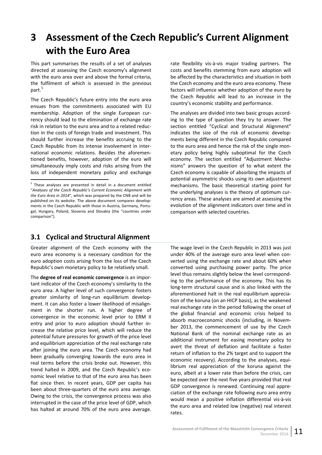# **3 Assessment of the Czech Republic's Current Alignment with the Euro Area**

<span id="page-16-0"></span>This part summarises the results of a set of analyses directed at assessing the Czech economy's alignment with the euro area over and above the formal criteria, the fulfilment of which is assessed in the previous part.<sup>5</sup>

The Czech Republic's future entry into the euro area ensues from the commitments associated with EU me[mb](#page-16-2)ership. Adoption of the single European cur‐ rency should lead to the elimination of exchange rate risk in relation to the euro area and to a related reduc‐ tion in the costs of foreign trade and investment. This should further increase the benefits accruing to the Czech Republic from its intense involvement in inter‐ national economic relations. Besides the aforemen‐ tioned benefits, however, adoption of the euro will simultaneously imply costs and risks arising from the loss of independent monetary policy and exchange

# <span id="page-16-2"></span>**3.1 Cyclical and Structural Alignment**

Greater alignment of the Czech economy with the euro area economy is a necessary condition for the euro adoption costs arising from the loss of the Czech Republic's own monetary policy to be relatively small.

<span id="page-16-1"></span>The **degree of real economic convergence** is an impor‐ tant indicator of the Czech economy's similarity to the euro area. A higher level of such convergence fosters greater similarity of long-run equilibrium development. It can also foster a lower likelihood of misalign‐ ment in the shorter run. A higher degree of convergence in the economic level prior to ERM II entry and prior to euro adoption should further in‐ crease the relative price level, which will reduce the potential future pressures for growth of the price level and equilibrium appreciation of the real exchange rate after joining the euro area. The Czech economy had been gradually converging towards the euro area in real terms before the crisis broke out. However, this trend halted in 2009, and the Czech Republic's eco‐ nomic level relative to that of the euro area has been flat since then. In recent years, GDP per capita has been about three‐quarters of the euro area average. Owing to the crisis, the convergence process was also interrupted in the case of the price level of GDP, which has halted at around 70% of the euro area average.

rate flexibility vis‐à‐vis major trading partners. The costs and benefits stemming from euro adoption will be affected by the characteristics and situation in both the Czech economy and the euro area economy. These factors will influence whether adoption of the euro by the Czech Republic will lead to an increase in the country's economic stability and performance.

The analyses are divided into two basic groups accord‐ ing to the type of question they try to answer. The section entitled "Cyclical and Structural Alignment" indicates the size of the risk of economic develop‐ ments being different in the Czech Republic compared to the euro area and hence the risk of the single mon‐ etary policy being highly suboptimal for the Czech economy. The section entitled "Adjustment Mecha‐ nisms" answers the question of to what extent the Czech economy is capable of absorbing the impacts of potential asymmetric shocks using its own adjustment mechanisms. The basic theoretical starting point for the underlying analyses is the theory of optimum cur‐ rency areas. These analyses are aimed at assessing the evolution of the alignment indicators over time and in comparison with selected countries.

The wage level in the Czech Republic in 2013 was just under 40% of the average euro area level when con‐ verted using the exchange rate and about 60% when converted using purchasing power parity. The price level thus remains slightly below the level correspond‐ ing to the performance of the economy. This has its long‐term structural cause and is also linked with the aforementioned halt in the real equilibrium apprecia‐ tion of the koruna (on an HICP basis), as the weakened real exchange rate in the period following the onset of the global financial and economic crisis helped to absorb macroeconomic shocks (including, in Novem‐ ber 2013, the commencement of use by the Czech National Bank of the nominal exchange rate as an additional instrument for easing monetary policy to avert the threat of deflation and facilitate a faster return of inflation to the 2% target and to support the economic recovery). According to the analyses, equi‐ librium real appreciation of the koruna against the euro, albeit at a lower rate than before the crisis, can be expected over the next five years provided that real GDP convergence is renewed. Continuing real appre‐ ciation of the exchange rate following euro area entry would mean a positive inflation differential vis‐à‐vis the euro area and related low (negative) real interest rates.

<sup>5</sup> These analyses are presented in detail in a document entitled "*Analyses of the Czech Republic's Current Economic Alignment with the Euro Area in 2014*", which was prepared by the CNB and will be published on its website. The above document compares developments in the Czech Republic with those in Austria, Germany, Portu‐ gal, Hungary, Poland, Slovenia and Slovakia (the "countries under comparison").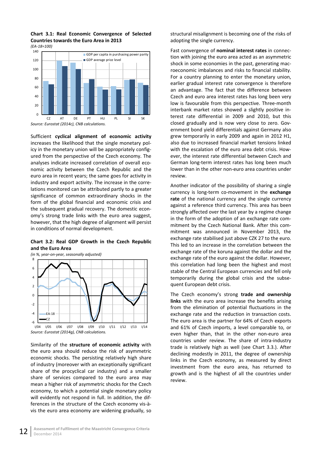

<span id="page-17-0"></span>**Chart 3.1: Real Economic Convergence of Selected Countries towards the Euro Area in 2013** *(EA‐18=100)*

Sufficient **cyclical alignment of economic activity** increases the likelihood that the single monetary pol‐ icy in the monetary union will be appropriately config‐ ured from the perspective of the Czech economy. The analyses indicate increased correlation of overall eco‐ nomic activity between the Czech Republic and the euro area in recent years; the same goes for activity in industry and export activity. The increase in the corre‐ lations monitored can be attributed partly to a greater significance of common extraordinary shocks in the form of the global financial and economic crisis and the subsequent gradual recovery. The domestic econ‐ omy's strong trade links with the euro area suggest, however, that the high degree of alignment will persist in conditions of normal development.

#### **Chart 3.2: Real GDP Growth in the Czech Republic and the Euro Area**

<span id="page-17-1"></span>

Similarity of the **structure of economic activity** with the euro area should reduce the risk of asymmetric economic shocks. The persisting relatively high share of industry (moreover with an exceptionally significant share of the procyclical car industry) and a smaller share of services compared to the euro area may mean a higher risk of asymmetric shocks for the Czech economy, to which a potential single monetary policy will evidently not respond in full. In addition, the differences in the structure of the Czech economy vis‐à‐ vis the euro area economy are widening gradually, so

structural misalignment is becoming one of the risks of adopting the single currency.

Fast convergence of **nominal interest rates** in connec‐ tion with joining the euro area acted as an asymmetric shock in some economies in the past, generating mac‐ roeconomic imbalances and risks to financial stability. For a country planning to enter the monetary union, earlier gradual interest rate convergence is therefore an advantage. The fact that the difference between Czech and euro area interest rates has long been very low is favourable from this perspective. Three‐month interbank market rates showed a slightly positive in‐ terest rate differential in 2009 and 2010, but this closed gradually and is now very close to zero. Gov‐ ernment bond yield differentials against Germany also grew temporarily in early 2009 and again in 2012 H1, also due to increased financial market tensions linked with the escalation of the euro area debt crisis. How‐ ever, the interest rate differential between Czech and German long‐term interest rates has long been much lower than in the other non‐euro area countries under review.

Another indicator of the possibility of sharing a single currency is long‐term co‐movement in the **exchange rate** of the national currency and the single currency against a reference third currency. This area has been strongly affected over the last year by a regime change in the form of the adoption of an exchange rate com‐ mitment by the Czech National Bank. After this com‐ mitment was announced in November 2013, the exchange rate stabilised just above CZK 27 to the euro. This led to an increase in the correlation between the exchange rate of the koruna against the dollar and the exchange rate of the euro against the dollar. However, this correlation had long been the highest and most stable of the Central European currencies and fell only temporarily during the global crisis and the subse‐ quent European debt crisis.

The Czech economy's strong **trade and ownership links** with the euro area increase the benefits arising from the elimination of potential fluctuations in the exchange rate and the reduction in transaction costs. The euro area is the partner for 64% of Czech exports and 61% of Czech imports, a level comparable to, or even higher than, that in the other non-euro area countries under review. The share of intra‐industry trade is relatively high as well (see Chart 3.3.). After declining modestly in 2011, the degree of ownership links in the Czech economy, as measured by direct investment from the euro area, has returned to growth and is the highest of all the countries under review.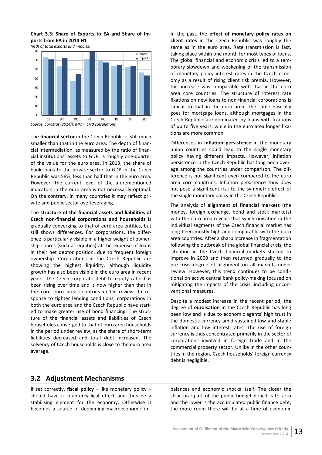<span id="page-18-0"></span>**Chart 3.3: Share of Exports to EA and Share of Im‐ ports from EA in 2014 H1**

*(in % of total exports and imports)*

![](_page_18_Figure_2.jpeg)

The **financial sector** in the Czech Republic is still much smaller than that in the euro area. The depth of finan‐ cial intermediation, as measured by the ratio of finan‐ cial institutions' assets to GDP, is roughly one‐quarter of the value for the euro area. In 2013, the share of bank loans to the private sector to GDP in the Czech Republic was 58%, less than half that in the euro area. However, the current level of the aforementioned indicators in the euro area is not necessarily optimal. On the contrary, in many countries it may reflect pri‐ vate and public sector overleveraging.

The **structure of the financial assets and liabilities of Czech non‐financial corporations and households** is gradually converging to that of euro area entities, but still shows differences. For corporations, the differ‐ ence is particularly visible in a higher weight of owner‐ ship shares (such as equities) at the expense of loans in their net debtor position, due to frequent foreign ownership. Corporations in the Czech Republic are showing the highest liquidity, although liquidity growth has also been visible in the euro area in recent years. The Czech corporate debt to equity ratio has been rising over time and is now higher than that in the core euro area countries under review. In re‐ sponse to tighter lending conditions, corporations in both the euro area and the Czech Republic have start‐ ed to make greater use of bond financing. The struc‐ ture of the financial assets and liabilities of Czech households converged to that of euro area households in the period under review, as the share of short‐term liabilities decreased and total debt increased. The solvency of Czech households is close to the euro area average.

In the past, the **effect of monetary policy rates on client rates** in the Czech Republic was roughly the same as in the euro area. Rate transmission is fast, taking place within one month for most types of loans. The global financial and economic crisis led to a tem‐ porary slowdown and weakening of the transmission of monetary policy interest rates in the Czech econ‐ omy as a result of rising client risk premia. However, this increase was comparable with that in the euro area core countries. The structure of interest rate fixations on new loans to non-financial corporations is similar to that in the euro area. The same basically goes for mortgage loans, although mortgages in the Czech Republic are dominated by loans with fixations of up to five years, while in the euro area longer fixations are more common.

Differences in **inflation persistence** in the monetary union countries could lead to the single monetary policy having different impacts. However, inflation persistence in the Czech Republic has long been aver‐ age among the countries under comparison. The dif‐ ference is not significant even compared to the euro area core countries. Inflation persistence thus does not pose a significant risk to the symmetric effect of the single monetary policy in the Czech Republic.

The analysis of **alignment of financial markets** (the money, foreign exchange, bond and stock markets) with the euro area reveals that synchronisation in the individual segments of the Czech financial market has long been mostly high and comparable with the euro area countries. After a sharp increase in fragmentation following the outbreak of the global financial crisis, the situation in the Czech financial markets started to improve in 2009 and then returned gradually to the pre‐crisis degree of alignment on all markets under review. However, this trend continues to be condi‐ tional on active central bank policy‐making focused on mitigating the impacts of the crisis, including uncon‐ ventional measures.

Despite a modest increase in the recent period, the degree of **euroisation** in the Czech Republic has long been low and is due to economic agents' high trust in the domestic currency amid sustained low and stable inflation and low interest rates. The use of foreign currency is thus concentrated primarily in the sector of corporations involved in foreign trade and in the commercial property sector. Unlike in the other coun‐ tries in the region, Czech households' foreign currency debt is negligible.

## **3.2 Adjustment Mechanisms**

If set correctly, **fiscal policy** – like monetary policy – should have a countercyclical effect and thus be a stabilising element for the economy. Otherwise it becomes a source of deepening macroeconomic im‐ balances and economic shocks itself. The closer the structural part of the public budget deficit is to zero and the lower is the accumulated public finance debt, the more room there will be at a time of economic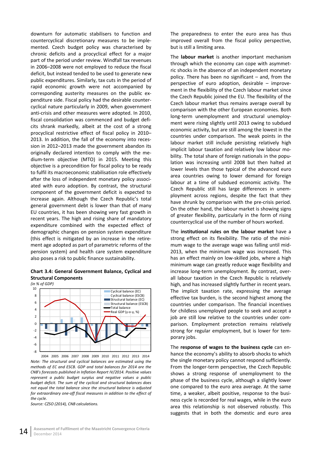downturn for automatic stabilisers to function and countercyclical discretionary measures to be imple‐ mented. Czech budget policy was characterised by chronic deficits and a procyclical effect for a major part of the period under review. Windfall tax revenues in 2006–2008 were not employed to reduce the fiscal deficit, but instead tended to be used to generate new public expenditures. Similarly, tax cuts in the period of rapid economic growth were not accompanied by corresponding austerity measures on the public ex‐ penditure side. Fiscal policy had the desirable counter‐ cyclical nature particularly in 2009, when government anti‐crisis and other measures were adopted. In 2010, fiscal consolidation was commenced and budget defi‐ cits shrank markedly, albeit at the cost of a strong procyclical restrictive effect of fiscal policy in 2010– 2013. In addition, the fall of the economy into reces‐ sion in 2012–2013 made the government abandon its originally declared intention to comply with the me‐ dium‐term objective (MTO) in 2015. Meeting this objective is a precondition for fiscal policy to be ready to fulfil its macroeconomic stabilisation role effectively after the loss of independent monetary policy associ‐ ated with euro adoption. By contrast, the structural component of the government deficit is expected to increase again. Although the Czech Republic's total general government debt is lower than that of many EU countries, it has been showing very fast growth in recent years. The high and rising share of mandatory expenditure combined with the expected effect of demographic changes on pension system expenditure (this effect is mitigated by an increase in the retire‐ ment age adopted as part of parametric reforms of the pension system) and health care system expenditure also poses a risk to public finance sustainability.

### <span id="page-19-0"></span>**Chart 3.4: General Government Balance, Cyclical and Structural Components**

*(in % of GDP)*

![](_page_19_Figure_3.jpeg)

2004 2005 2006 2007 2008 2009 2010 2011 2012 2013 2014 *Note: The structural and cyclical balances are estimated using the methods of EC and ESCB. GDP and total balances for 2014 are the CNB's forecasts published in Inflation Report IV/2014. Positive values represent a public budget surplus and negative values a public budget deficit. The sum of the cyclical and structural balances does not equal the total balance since the structural balance is adjusted for extraordinary one‐off fiscal measures in addition to the effect of the cycle.*

*Source: CZSO (2014), CNB calculations.*

The preparedness to enter the euro area has thus improved overall from the fiscal policy perspective, but is still a limiting area.

The **labour market** is another important mechanism through which the economy can cope with asymmet‐ ric shocks in the absence of an independent monetary policy. There has been no significant – and, from the perspective of euro adoption, desirable – improve‐ ment in the flexibility of the Czech labour market since the Czech Republic joined the EU. The flexibility of the Czech labour market thus remains average overall by comparison with the other European economies. Both long‐term unemployment and structural unemploy‐ ment were rising slightly until 2013 owing to subdued economic activity, but are still among the lowest in the countries under comparison. The weak points in the labour market still include persisting relatively high implicit labour taxation and relatively low labour mo‐ bility. The total share of foreign nationals in the popu‐ lation was increasing until 2008 but then halted at lower levels than those typical of the advanced euro area countries owing to lower demand for foreign labour at a time of subdued economic activity. The Czech Republic still has large differences in unem‐ ployment across regions, despite the fact that they have shrunk by comparison with the pre-crisis period. On the other hand, the labour market is showing signs of greater flexibility, particularly in the form of rising countercyclical use of the number of hours worked.

The **institutional rules on the labour market** have a strong effect on its flexibility. The ratio of the mini‐ mum wage to the average wage was falling until mid‐ 2013, when the minimum wage was increased. This has an effect mainly on low-skilled jobs, where a high minimum wage can greatly reduce wage flexibility and increase long‐term unemployment. By contrast, over‐ all labour taxation in the Czech Republic is relatively high, and has increased slightly further in recent years. The implicit taxation rate, expressing the average effective tax burden, is the second highest among the countries under comparison. The financial incentives for childless unemployed people to seek and accept a job are still low relative to the countries under comparison. Employment protection remains relatively strong for regular employment, but is lower for tem‐ porary jobs.

The **response of wages to the business cycle** can en‐ hance the economy's ability to absorb shocks to which the single monetary policy cannot respond sufficiently. From the longer‐term perspective, the Czech Republic shows a strong response of unemployment to the phase of the business cycle, although a slightly lower one compared to the euro area average. At the same time, a weaker, albeit positive, response to the business cycle is recorded for real wages, while in the euro area this relationship is not observed robustly. This suggests that in both the domestic and euro area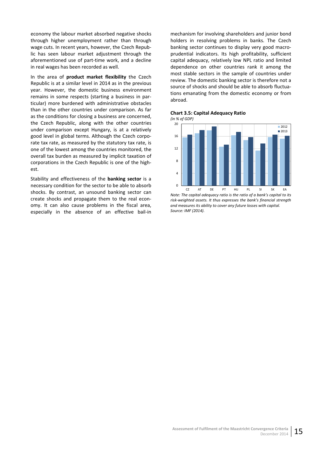economy the labour market absorbed negative shocks through higher unemployment rather than through wage cuts. In recent years, however, the Czech Repub‐ lic has seen labour market adjustment through the aforementioned use of part‐time work, and a decline in real wages has been recorded as well.

In the area of **product market flexibility** the Czech Republic is at a similar level in 2014 as in the previous year. However, the domestic business environment remains in some respects (starting a business in par‐ ticular) more burdened with administrative obstacles than in the other countries under comparison. As far as the conditions for closing a business are concerned, the Czech Republic, along with the other countries under comparison except Hungary, is at a relatively good level in global terms. Although the Czech corpo‐ rate tax rate, as measured by the statutory tax rate, is one of the lowest among the countries monitored, the overall tax burden as measured by implicit taxation of corporations in the Czech Republic is one of the high‐ est.

Stability and effectiveness of the **banking sector** is a necessary condition for the sector to be able to absorb shocks. By contrast, an unsound banking sector can create shocks and propagate them to the real econ‐ omy. It can also cause problems in the fiscal area, especially in the absence of an effective bail‐in

mechanism for involving shareholders and junior bond holders in resolving problems in banks. The Czech banking sector continues to display very good macro‐ prudential indicators. Its high profitability, sufficient capital adequacy, relatively low NPL ratio and limited dependence on other countries rank it among the most stable sectors in the sample of countries under review. The domestic banking sector is therefore not a source of shocks and should be able to absorb fluctua‐ tions emanating from the domestic economy or from abroad.

![](_page_20_Figure_4.jpeg)

![](_page_20_Figure_5.jpeg)

![](_page_20_Figure_6.jpeg)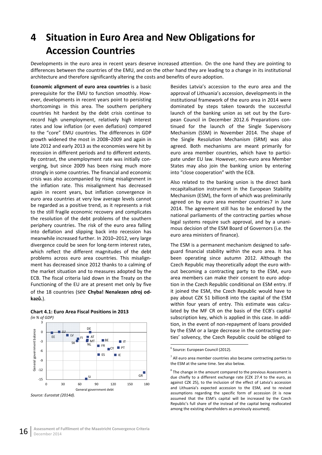# **4 Situation in Euro Area and New Obligations for Accession Countries**

Developments in the euro area in recent years deserve increased attention. On the one hand they are pointing to differences between the countries of the EMU, and on the other hand they are leading to a change in its institutional architecture and therefore significantly altering the costs and benefits of euro adoption.

**Economic alignment of euro area countries** is a basic prerequisite for the EMU to function smoothly. How‐ ever, developments in recent years point to persisting shortcomings in this area. The southern periphery countries hit hardest by the debt crisis continue to record high unemployment, relatively high interest rates and low inflation (or even deflation) compared to the "core" EMU countries. The differences in GDP growth widened the most in 2008–2009 and again in late 2012 and early 2013 as the economies were hit by recession in different periods and to different extents. By contrast, the unemployment rate was initially con‐ verging, but since 2009 has been rising much more strongly in some countries. The financial and economic crisis was also accompanied by rising misalignment in the inflation rate. This misalignment has decreased again in recent years, but inflation convergence in euro area countries at very low average levels cannot be regarded as a positive trend, as it represents a risk to the still fragile economic recovery and complicates the resolution of the debt problems of the southern periphery countries. The risk of the euro area falling into deflation and slipping back into recession has meanwhile increased further. In 2010–2012, very large divergence could be seen for long‐term interest rates, which reflect the different magnitudes of the debt problems across euro area countries. This misalignment has decreased since 2012 thanks to a calming of the market situation and to measures adopted by the ECB. The fiscal criteria laid down in the Treaty on the Functioning of the EU are at present met only by five of the 18 countries (see **Chyba! Nenalezen zdroj od‐ kazů.**).

![](_page_21_Figure_3.jpeg)

**Chart 4.1: Euro Area Fiscal Positions in 2013**

Besides Latvia's accession to the euro area and the approval of Lithuania's accession, developments in the institutional framework of the euro area in 2014 were dominated by steps taken towards the successful launch of the banking union as set out by the European Council in December 2012.6 Preparations continued for the launch of the Single Supervisory Mechanism (SSM) in November 2014. The shape of the Single Resolution Mechanism (SRM) was also agreed. Both mechanisms are [m](#page-21-0)eant primarily for euro area member countries, which have to partici‐ pate under EU law. However, non‐euro area Member States may also join the banking union by entering into "close cooperation" with the ECB.

Also related to the banking union is the direct bank recapitalisation instrument in the European Stability Mechanism (ESM), the form of which was preliminarily agreed on by euro area member countries7 in June 2014. The agreement still has to be endorsed by the national parliaments of the contracting parties whose legal systems require such approval, and by a unani‐ mous decision of the ESM Board of Governo[rs](#page-21-1) (i.e. the euro area ministers of finance).

The ESM is a permanent mechanism designed to safe‐ guard financial stability within the euro area. It has been operating since autumn 2012. Although the Czech Republic may theoretically adopt the euro with‐ out becoming a contracting party to the ESM, euro area members can make their consent to euro adop‐ tion in the Czech Republic conditional on ESM entry. If it joined the ESM, the Czech Republic would have to pay about CZK 51 billion8 into the capital of the ESM within four years of entry. This estimate was calculated by the MF CR on the basis of the ECB's capital subscription key, which is applied in this case. In addi‐ tion, in the event of non‐[re](#page-21-2)payment of loans provided by the ESM or a large decrease in the contracting par‐ ties' solvency, the Czech Republic could be obliged to

<span id="page-21-2"></span><span id="page-21-1"></span><span id="page-21-0"></span>*Source: Eurostat (2014d).*

<sup>&</sup>lt;sup>6</sup> Source: European Council (2012).

 $<sup>7</sup>$  All euro area member countries also became contracting parties to</sup> the ESM at the same time. See also below.

 $8$  The change in the amount compared to the previous Assessment is due chiefly to a different exchange rate (CZK 27.4 to the euro, as against CZK 25), to the inclusion of the effect of Latvia's accession and Lithuania's expected accession to the ESM, and to revised assumptions regarding the specific form of accession (it is now assumed that the ESM's capital will be increased by the Czech Republic's full share of the instead of the capital being reallocated among the existing shareholders as previously assumed).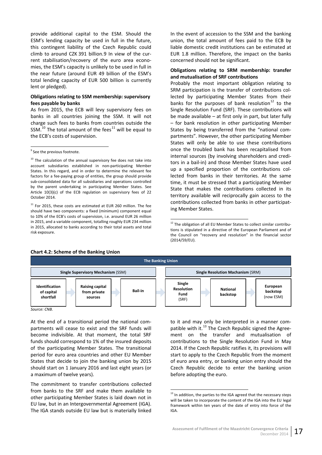provide additional capital to the ESM. Should the ESM's lending capacity be used in full in the future, this contingent liability of the Czech Republic could climb to around CZK 391 billion.9 In view of the cur‐ rent stabilisation/recovery of the euro area econo‐ mies, the ESM's capacity is unlikely to be used in full in the near future (around EUR 49 billion of the ESM's total lending capacity of EUR 5[00](#page-22-0) billion is currently lent or pledged).

#### **Obligations relating to SSM membership: supervisory fees payable by banks**

As from 2015, the ECB will levy supervisory fees on banks in all countries joining the SSM. It will not charge such fees to banks from countries outside the SSM. $^{10}$  The total amount of the fees<sup>11</sup> will be equal to the ECB's costs of supervision.

<span id="page-22-1"></span> $11$  For 2015, these costs are estimated at EUR 260 million. The fee should have two components: a fixed (minimum) component equal to 10% of the ECB's costs of supervision, i.e. around EUR 26 million in 2015, and a variable component, totalling roughly EUR 234 million in 2015, allocated to banks according to their total assets and total risk exposure.

In the event of accession to the SSM and the banking union, the total amount of fees paid to the ECB by liable domestic credit institutions can be estimated at EUR 1.8 million. Therefore, the impact on the banks concerned should not be significant.

#### **Obligations relating to SRM membership: transfer and mutualisation of SRF contributions**

Probably the most important obligation relating to SRM participation is the transfer of contributions col‐ lected by participating Member States from their banks for the purposes of bank resolution<sup>12</sup> to the Single Resolution Fund (SRF). These contributions will be made available – at first only in part, but later fully – for bank resolution in other participating Member States by being transferred from the "nati[ona](#page-22-2)l com‐ partments". However, the other participating Member States will only be able to use these contributions once the troubled bank has been recapitalised from internal sources (by involving shareholders and credi‐ tors in a bail‐in) and those Member States have used up a specified proportion of the contributions col‐ lected from banks in their territories. At the same time, it must be stressed that a participating Member State that makes the contributions collected in its territory available will reciprocally gain access to the contributions collected from banks in other participat‐ ing Member States.

#### <span id="page-22-2"></span>**Chart 4.2: Scheme of the Banking Union**

![](_page_22_Figure_11.jpeg)

*Source: CNB.*

At the end of a transitional period the national com‐ partments will cease to exist and the SRF funds will become indivisible. At that moment, the total SRF funds should correspond to 1% of the insured deposits of the participating Member States. The transitional period for euro area countries and other EU Member States that decide to join the banking union by 2015 should start on 1 January 2016 and last eight years (or a maximum of twelve years).

<span id="page-22-3"></span>The commitment to transfer contributions collected from banks to the SRF and make them available to other participating Member States is laid down not in EU law, but in an Intergovernmental Agreement (IGA). The IGA stands outside EU law but is materially linked

to it and may only be interpreted in a manner com‐ patible with it. $^{13}$  The Czech Republic signed the Agreement on the transfer and mutualisation of contributions to the Single Resolution Fund in May 2014. If the Czech Republic ratifies it, its provisions will start to apply [to](#page-22-3) the Czech Republic from the moment of euro area entry, or banking union entry should the Czech Republic decide to enter the banking union before adopting the euro.

<sup>&</sup>lt;sup>9</sup> See [the](#page-22-1) previous footnote.

<span id="page-22-0"></span> $10$  The calculation of the annual supervisory fee does not take into account subsidiaries established in non‐participating Member States. In this regard, and in order to determine the relevant fee factors for a fee‐paying group of entities, the group should provide sub‐consolidated data for all subsidiaries and operations controlled by the parent undertaking in participating Member States. See Article 10(3)(c) of the ECB regulation on supervisory fees of 22 October 2014.

 $12$  The obligation of all EU Member States to collect similar contributions is stipulated in a directive of the European Parliament and of the Council on "recovery and resolution" in the financial sector (2014/59/EU).

<sup>&</sup>lt;sup>13</sup> In addition, the parties to the IGA agreed that the necessary steps will be taken to incorporate the content of the IGA into the EU legal framework within ten years of the date of entry into force of the IGA.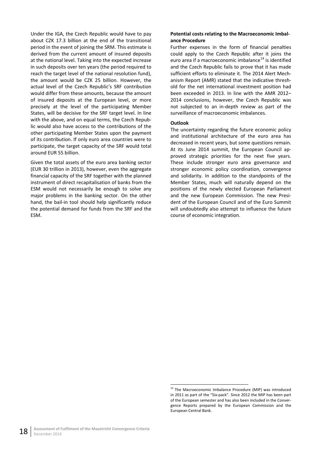Under the IGA, the Czech Republic would have to pay about CZK 17.3 billion at the end of the transitional period in the event of joining the SRM. This estimate is derived from the current amount of insured deposits at the national level. Taking into the expected increase in such deposits over ten years (the period required to reach the target level of the national resolution fund), the amount would be CZK 25 billion. However, the actual level of the Czech Republic's SRF contribution would differ from these amounts, because the amount of insured deposits at the European level, or more precisely at the level of the participating Member States, will be decisive for the SRF target level. In line with the above, and on equal terms, the Czech Repub‐ lic would also have access to the contributions of the other participating Member States upon the payment of its contribution. If only euro area countries were to participate, the target capacity of the SRF would total around EUR 55 billion.

Given the total assets of the euro area banking sector (EUR 30 trillion in 2013), however, even the aggregate financial capacity of the SRF together with the planned instrument of direct recapitalisation of banks from the ESM would not necessarily be enough to solve any major problems in the banking sector. On the other hand, the bail‐in tool should help significantly reduce the potential demand for funds from the SRF and the ESM.

#### **Potential costs relating to the Macroeconomic Imbal‐ ance Procedure**

Further expenses in the form of financial penalties could apply to the Czech Republic after it joins the euro area if a macroeconomic imbalance $14$  is identified and the Czech Republic fails to prove that it has made sufficient efforts to eliminate it. The 2014 Alert Mech‐ anism Report (AMR) stated that the indicative thresh‐ old for the net international investment [p](#page-23-0)osition had been exceeded in 2013. In line with the AMR 2012– 2014 conclusions, however, the Czech Republic was not subjected to an in‐depth review as part of the surveillance of macroeconomic imbalances.

#### **Outlook**

The uncertainty regarding the future economic policy and institutional architecture of the euro area has decreased in recent years, but some questions remain. At its June 2014 summit, the European Council ap‐ proved strategic priorities for the next five years. These include stronger euro area governance and stronger economic policy coordination, convergence and solidarity. In addition to the standpoints of the Member States, much will naturally depend on the positions of the newly elected European Parliament and the new European Commission. The new Presi‐ dent of the European Council and of the Euro Summit will undoubtedly also attempt to influence the future course of economic integration.

<span id="page-23-0"></span> <sup>14</sup> The Macroeconomic Imbalance Procedure (MIP) was introduced in 2011 as part of the "Six‐pack". Since 2012 the MIP has been part of the European semester and has also been included in the Conver‐ gence Reports prepared by the European Commission and the European Central Bank.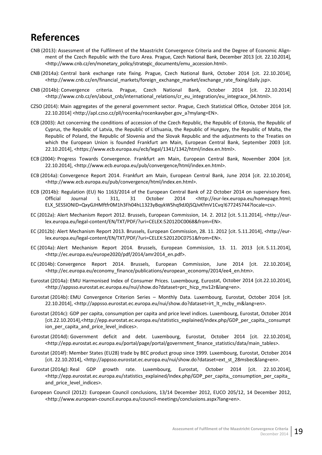# **References**

- <span id="page-24-0"></span>CNB (2013): Assessment of the Fulfilment of the Maastricht Convergence Criteria and the Degree of Economic Alignment of the Czech Republic with the Euro Area. Prague, Czech National Bank, December 2013 [cit. 22.10.2014], <http://www.cnb.cz/en/monetary\_policy/strategic\_documents/emu\_accession.html>.
- CNB (2014a): Central bank exchange rate fixing. Prague, Czech National Bank, October 2014 [cit. 22.10.2014], <http://www.cnb.cz/en/financial\_markets/foreign\_exchange\_market/exchange\_rate\_fixing/daily.jsp>.
- CNB (2014b): Convergence criteria. Prague, Czech National Bank, October 2014 [cit. 22.10.2014] <http://www.cnb.cz/en/about\_cnb/international\_relations/cr\_eu\_integration/eu\_integrace\_04.html>.
- CZSO (2014): Main aggregates of the general government sector. Prague, Czech Statistical Office, October 2014 [cit. 22.10.2014] <http://apl.czso.cz/pll/rocenka/rocenkavyber.gov\_a?mylang=EN>.
- ECB (2003): Act concerning the conditions of accession of the Czech Republic, the Republic of Estonia, the Republic of Cyprus, the Republic of Latvia, the Republic of Lithuania, the Republic of Hungary, the Republic of Malta, the Republic of Poland, the Republic of Slovenia and the Slovak Republic and the adjustments to the Treaties on which the European Union is founded Frankfurt am Main, European Central Bank, September 2003 [cit. 22.10.2014], <https://www.ecb.europa.eu/ecb/legal/1341/1342/html/index.en.html>.
- ECB (2004): Progress Towards Convergence. Frankfurt am Main, European Central Bank, November 2004 [cit. 22.10.2014], <http://www.ecb.europa.eu/pub/convergence/html/index.en.html>.
- ECB (2014a): Convergence Report 2014. Frankfurt am Main, European Central Bank, June 2014 [cit. 22.10.2014], <http://www.ecb.europa.eu/pub/convergence/html/index.en.html>.
- ECB (2014b): Regulation (EU) No [1163/2014](http://www.ecb.europa.eu/pub/convergence/html/index.en.html) of the European Central Bank of 22 October 2014 on supervisory fees. Official Journal L 311, 31 October 2014 <http://eur‐lex.europa.eu/homepage.html; E[LX\\_SESSIONID=QxyGJHMftfr0M1h3Fh04hL1323yBqykWShq9dJ0jSQ](http://www.ecb.europa.eu/pub/convergence/html/index.en.html)JvKfmV1Cvq!677245744?locale=cs>.
- EC (2012a): Alert Mechanism Report 2012. Brussels, European Commission, 14. 2. 2012 [cit. 5.11.2014], <http://eurlex.europa.eu/legal-content/EN/TXT/PDF/?uri=CELEX:52012DC0068&from=EN>.
- EC (2012b): Alert Mechanism Report 2013. Brussels, European Commission, 28. 11. 2012 [cit. 5.11.2014], <http://eur‐ lex.europa.eu/legal‐content/EN/TXT/PDF/?uri=CELEX:52012DC0751&from=EN>.
- EC (2014a): Alert Mechanism Report 2014. Brussels, European Commission, 13. 11. 2013 [cit. 5.11.2014], <http://ec.europa.eu/europe2020/pdf/2014/amr2014\_en.pdf>.
- EC (2014b): Convergence Report 2014. Brussels, European Commission, June 2014 [cit. 22.10.2014], <http://ec.europa.eu/economy\_finance/publications/european\_economy/2014/ee4\_en.htm>.
- Eurostat (2014a): EMU Harmonised Index of Consumer Prices. Luxembourg, Eurostat, October 2014 [cit.22.10.2014], <http://appsso.eurostat.ec.europa.eu/nui/show.do?dataset=prc\_hicp\_mv12r&lang=en>.
- Eurostat (2014b): EMU Convergence Criterion Series Monthly Data. Luxembourg, Eurostat, October 2014 [cit. 22.10.2014], <http://appsso.eurostat.ec.europa.eu/nui/show.do?dataset=irt\_lt\_mcby\_m&lang=en>.
- Eurostat (2014c): GDP per capita, consumption per capita and price level indices. Luxembourg, Eurostat, October 2014 [cit.22.10.2014],<http://epp.eurostat.ec.europa.eu/statistics\_explained/index.php/GDP\_per\_capita,\_consumpt ion\_per\_capita\_and\_price\_level\_indices>.
- Eurostat (2014d): Government deficit and debt. Luxembourg, Eurostat, October 2014 [cit. 22.10.2014], <http://epp.eurostat.ec.europa.eu/portal/page/portal/government\_finance\_statistics/data/main\_tables>.
- Eurostat (2014f): Member States (EU28) trade by BEC product group since 1999. Luxembourg, Eurostat, October 2014 [cit. 22.10.2014], <http://appsso.eurostat.ec.europa.eu/nui/show.do?dataset=ext\_st\_28msbec&lang=en>.
- Eurostat (2014g): Real GDP growth rate. Luxembourg, Eurostat, October 2014 [cit. 22.10.2014], <http://epp.eurostat.ec.europa.eu/statistics\_explained/index.php/GDP\_per\_capita,\_consumption\_per\_capita and\_price\_level\_indices>.
- European Council (2012): European Council conclusions, 13/14 December 2012, EUCO 205/12, 14 December 2012, <http://www.european‐council.europa.eu/council‐meetings/conclusions.aspx?lang=en>.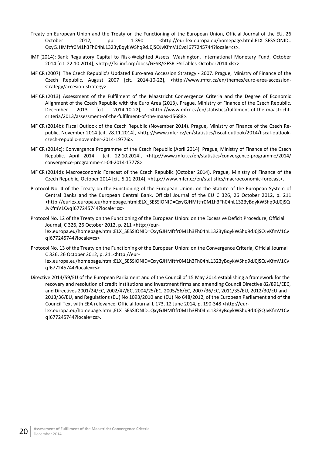- Treaty on European Union and the Treaty on the Functioning of the European Union, Official Journal of the EU, 26 October 2012, pp. 1-390 <http://eur-lex.europa.eu/homepage.html;ELX\_SESSIONID= QxyGJHMftfr0M1h3Fh04hL1323yBqykWShq9dJ0jSQJvKfmV1Cvq!677245744?locale=cs>.
- IMF (2014): Bank Regulatory Capital to Risk‐Weighted Assets. Washington, International Monetary Fund, October 2014 [cit. 22.10.2014], <http://fsi.imf.org/docs/GFSR/GFSR‐FSITables‐October2014.xlsx>.
- MF CR (2007): The Czech Republic's Updated Euro‐area Accession Strategy ‐ 2007. Prague, Ministry of Finance of the Czech Republic, August 2007 [cit. 2014‐10‐22], <http://www.mfcr.cz/en/themes/euro‐area‐accession‐ strategy/accesion‐strategy>.
- MF CR (2013): Assessment of the Fulfilment of the Maastricht Convergence Criteria and the Degree of Economic Alignment of the Czech Republic with the Euro Area (2013). Prague, Ministry of Finance of the Czech Republic, December 2013 [cit. 2014-10-22], <http://www.mfcr.cz/en/statistics/fulfilment-of-the-maastrichtcriteria/2013/assessment‐of‐the‐fulfilment‐of‐the‐maas‐15688>.
- MF CR (2014b): Fiscal Outlook of the Czech Republic (November 2014). Prague, Ministry of Finance of the Czech Re‐ public, November 2014 [cit. 28.11.2014], <http://www.mfcr.cz/en/statistics/fiscal-outlook/2014/fiscal-outlookczech‐republic‐november‐2014‐19776>.
- MF CR (2014c): Convergence Programme of the Czech Republic (April 2014). Prague, Ministry of Finance of the Czech Republic, April 2014 [cit. 22.10.2014], <http://www.mfcr.cz/en/statistics/convergence‐programme/2014/ convergence‐programme‐cr‐04‐2014‐17778>.
- MF CR (2014d): Macroeconomic Forecast of the Czech Republic (October 2014). Prague, Ministry of Finance of the Czech Republic, October 2014 [cit. 5.11.2014], <http://www.mfcr.cz/en/statistics/macroeconomic‐forecast>.
- Protocol No. 4 of the Treaty on the Functioning of the European Union: on the Statute of the European System of Central Banks and the European Central Bank, Official Journal of the EU C 326, 26 October 2012, p. 211 <http://eurlex.europa.eu/homepage.html;ELX\_SESSIONID=QxyGJHMftfr0M1h3Fh04hL1323yBqykWShq9dJ0jSQ JvKfmV1Cvq!677245744?locale=cs>
- Protocol No. 12 of the Treaty on the Functioning of the European Union: on the Excessive Deficit Procedure, Official Journal, C 326, 26 October 2012, p. 211 <http://eur‐ lex.europa.eu/homepage.html;ELX\_SESSIONID=QxyGJHMftfr0M1h3Fh04hL1323yBqykWShq9dJ0jSQJvKfmV1Cv q!677245744?locale=cs>
- Protocol No. 13 of the Treaty on the Functioning of the European Union: on the Convergence Criteria, Official Journal C 326, 26 October 2012, p. 211<http://eur‐ lex.europa.eu/homepage.html;ELX\_SESSIONID=QxyGJHMftfr0M1h3Fh04hL1323yBqykWShq9dJ0jSQJvKfmV1Cv q!677245744?locale=cs>
- Directive 2014/59/EU of the European Parliament and of the Council of 15 May 2014 establishing a framework for the recovery and resolution of credit institutions and investment firms and amending Council Directive 82/891/EEC, and Directives 2001/24/EC, 2002/47/EC, 2004/25/EC, 2005/56/EC, 2007/36/EC, 2011/35/EU, 2012/30/EU and 2013/36/EU, and Regulations (EU) No 1093/2010 and (EU) No 648/2012, of the European Parliament and of the Council Text with EEA relevance, Official Journal L 173, 12 June 2014, p. 190‐348 <http://eur‐ lex.europa.eu/homepage.html;ELX\_SESSIONID=QxyGJHMftfr0M1h3Fh04hL1323yBqykWShq9dJ0jSQJvKfmV1Cv q!677245744?locale=cs>.